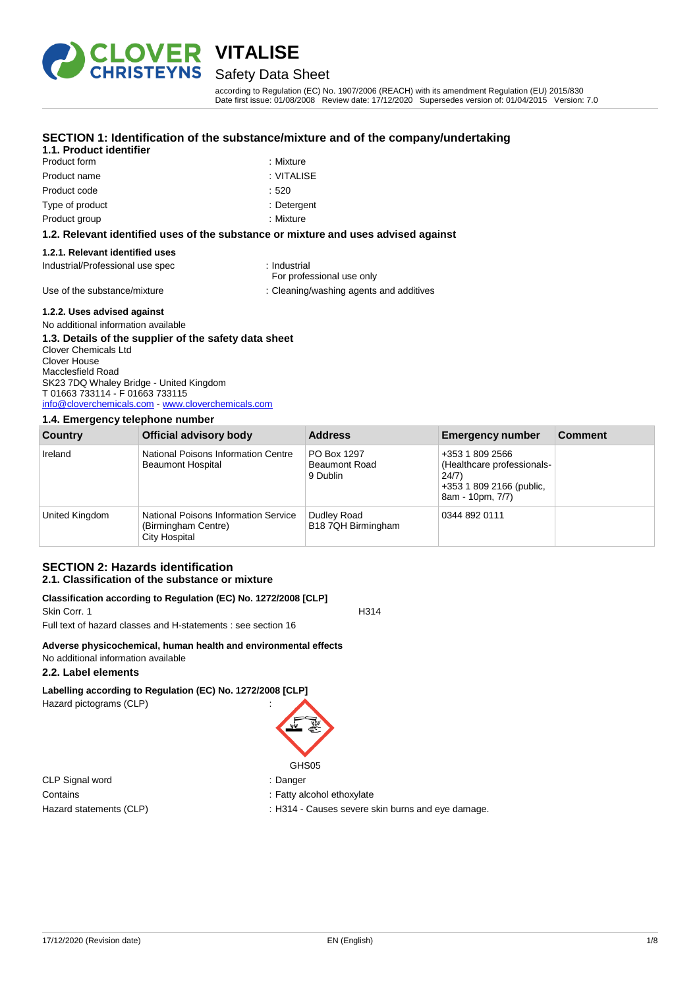

## Safety Data Sheet

according to Regulation (EC) No. 1907/2006 (REACH) with its amendment Regulation (EU) 2015/830 Date first issue: 01/08/2008 Review date: 17/12/2020 Supersedes version of: 01/04/2015 Version: 7.0

#### **SECTION 1: Identification of the substance/mixture and of the company/undertaking**

#### **1.1. Product identifier**

- Product form : Nixture Product name : VITALISE Product code : 520 Type of product in the contract of the contract of the contract of the contract of the contract of the contract of the contract of the contract of the contract of the contract of the contract of the contract of the contrac
	-
	-
	-
	-
- Product group : Mixture

#### **1.2. Relevant identified uses of the substance or mixture and uses advised against**

#### **1.2.1. Relevant identified uses**

Industrial/Professional use spec : Industrial

For professional use only

Use of the substance/mixture in the substance/mixture : Cleaning/washing agents and additives

#### **1.2.2. Uses advised against**

#### No additional information available

#### **1.3. Details of the supplier of the safety data sheet**

Clover Chemicals Ltd Clover House Macclesfield Road SK23 7DQ Whaley Bridge - United Kingdom T 01663 733114 - F 01663 733115 [info@cloverchemicals.com](mailto:info@cloverchemicals.com) - <www.cloverchemicals.com>

#### **1.4. Emergency telephone number**

| Country        | Official advisory body                                                              | <b>Address</b>                                  | <b>Emergency number</b>                                                                                | <b>Comment</b> |
|----------------|-------------------------------------------------------------------------------------|-------------------------------------------------|--------------------------------------------------------------------------------------------------------|----------------|
| Ireland        | National Poisons Information Centre<br><b>Beaumont Hospital</b>                     | PO Box 1297<br><b>Beaumont Road</b><br>9 Dublin | +353 1 809 2566<br>(Healthcare professionals-<br>24/7)<br>+353 1 809 2166 (public,<br>8am - 10pm, 7/7) |                |
| United Kingdom | <b>National Poisons Information Service</b><br>(Birmingham Centre)<br>City Hospital | Dudley Road<br>B18 7QH Birmingham               | 0344 892 0111                                                                                          |                |

#### **SECTION 2: Hazards identification 2.1. Classification of the substance or mixture**

#### **Classification according to Regulation (EC) No. 1272/2008 [CLP]**

Skin Corr. 1 H314

Full text of hazard classes and H-statements : see section 16

#### **Adverse physicochemical, human health and environmental effects** No additional information available

#### **2.2. Label elements**

# **Labelling according to Regulation (EC) No. 1272/2008 [CLP]**

Hazard pictograms (CLP) :



CLP Signal word : Danger Contains **Contains** : Fatty alcohol ethoxylate

Hazard statements (CLP) : H314 - Causes severe skin burns and eye damage.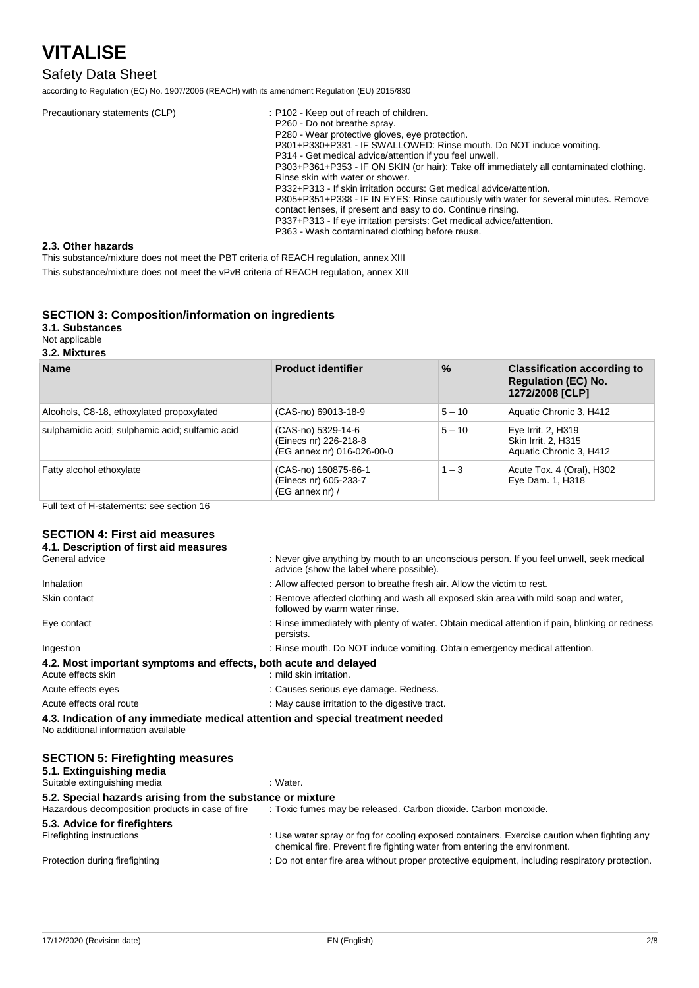# Safety Data Sheet

according to Regulation (EC) No. 1907/2006 (REACH) with its amendment Regulation (EU) 2015/830

| Precautionary statements (CLP) | : P102 - Keep out of reach of children.                                                |
|--------------------------------|----------------------------------------------------------------------------------------|
|                                | P260 - Do not breathe spray.                                                           |
|                                | P280 - Wear protective gloves, eve protection.                                         |
|                                | P301+P330+P331 - IF SWALLOWED: Rinse mouth. Do NOT induce vomiting.                    |
|                                | P314 - Get medical advice/attention if you feel unwell.                                |
|                                | P303+P361+P353 - IF ON SKIN (or hair): Take off immediately all contaminated clothing. |
|                                | Rinse skin with water or shower.                                                       |
|                                | P332+P313 - If skin irritation occurs: Get medical advice/attention.                   |
|                                | P305+P351+P338 - IF IN EYES: Rinse cautiously with water for several minutes. Remove   |
|                                | contact lenses, if present and easy to do. Continue rinsing.                           |
|                                | P337+P313 - If eye irritation persists: Get medical advice/attention.                  |
|                                | P363 - Wash contaminated clothing before reuse.                                        |

#### **2.3. Other hazards**

This substance/mixture does not meet the PBT criteria of REACH regulation, annex XIII

This substance/mixture does not meet the vPvB criteria of REACH regulation, annex XIII

#### **SECTION 3: Composition/information on ingredients**

**3.1. Substances**

Not applicable

#### **3.2. Mixtures**

| <b>Name</b>                                     | <b>Product identifier</b>                                                 | $\frac{0}{0}$ | <b>Classification according to</b><br><b>Regulation (EC) No.</b><br>1272/2008 [CLP] |
|-------------------------------------------------|---------------------------------------------------------------------------|---------------|-------------------------------------------------------------------------------------|
| Alcohols, C8-18, ethoxylated propoxylated       | (CAS-no) 69013-18-9                                                       | $5 - 10$      | Aquatic Chronic 3, H412                                                             |
| sulphamidic acid; sulphamic acid; sulfamic acid | (CAS-no) 5329-14-6<br>(Einecs nr) 226-218-8<br>(EG annex nr) 016-026-00-0 | $5 - 10$      | Eye Irrit. 2, H319<br>Skin Irrit. 2, H315<br>Aquatic Chronic 3, H412                |
| Fatty alcohol ethoxylate                        | (CAS-no) 160875-66-1<br>(Einecs nr) 605-233-7<br>$(EG \n  annex \n  nr)/$ | $1 - 3$       | Acute Tox. 4 (Oral), H302<br>Eye Dam. 1, H318                                       |

Full text of H-statements: see section 16

#### **SECTION 4: First aid measures**

| 4.1. Description of first aid measures                                                                                 |                                                                                                                                                                          |
|------------------------------------------------------------------------------------------------------------------------|--------------------------------------------------------------------------------------------------------------------------------------------------------------------------|
| General advice                                                                                                         | : Never give anything by mouth to an unconscious person. If you feel unwell, seek medical<br>advice (show the label where possible).                                     |
| Inhalation                                                                                                             | : Allow affected person to breathe fresh air. Allow the victim to rest.                                                                                                  |
| Skin contact                                                                                                           | : Remove affected clothing and wash all exposed skin area with mild soap and water,<br>followed by warm water rinse.                                                     |
| Eye contact                                                                                                            | : Rinse immediately with plenty of water. Obtain medical attention if pain, blinking or redness<br>persists.                                                             |
| Ingestion                                                                                                              | : Rinse mouth. Do NOT induce vomiting. Obtain emergency medical attention.                                                                                               |
| 4.2. Most important symptoms and effects, both acute and delayed<br>Acute effects skin                                 | : mild skin irritation.                                                                                                                                                  |
| Acute effects eyes                                                                                                     | : Causes serious eye damage. Redness.                                                                                                                                    |
| Acute effects oral route                                                                                               | : May cause irritation to the digestive tract.                                                                                                                           |
| 4.3. Indication of any immediate medical attention and special treatment needed<br>No additional information available |                                                                                                                                                                          |
| <b>SECTION 5: Firefighting measures</b><br>5.1. Extinguishing media<br>Suitable extinguishing media                    | : Water.                                                                                                                                                                 |
|                                                                                                                        |                                                                                                                                                                          |
| 5.2. Special hazards arising from the substance or mixture<br>Hazardous decomposition products in case of fire         | : Toxic fumes may be released. Carbon dioxide. Carbon monoxide.                                                                                                          |
| 5.3. Advice for firefighters<br>Firefighting instructions                                                              | : Use water spray or fog for cooling exposed containers. Exercise caution when fighting any<br>chemical fire. Prevent fire fighting water from entering the environment. |
| Protection during firefighting                                                                                         | : Do not enter fire area without proper protective equipment, including respiratory protection.                                                                          |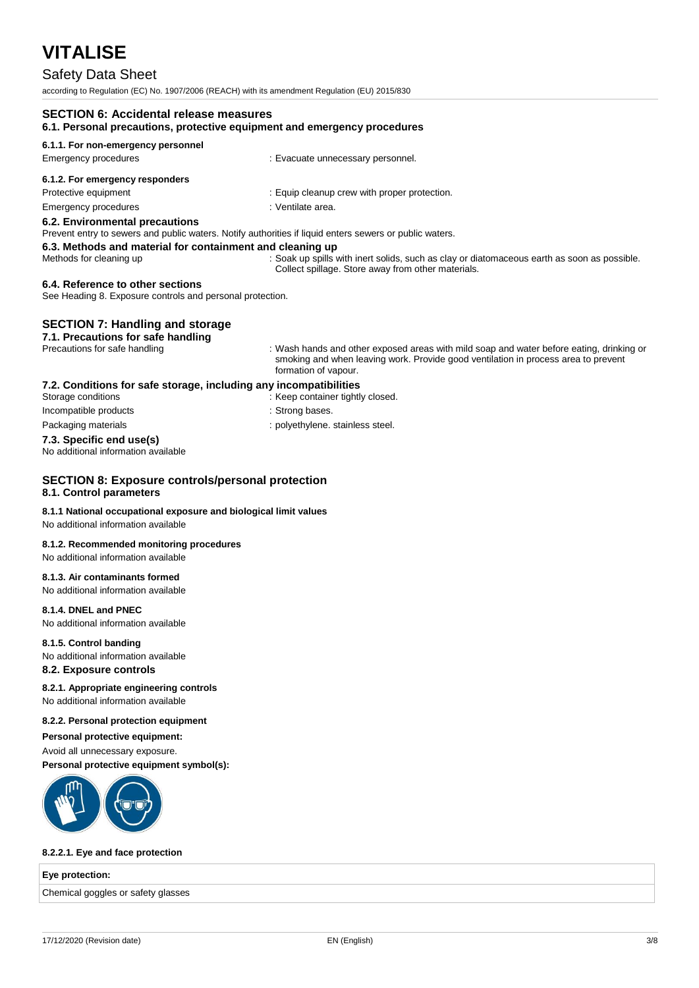### Safety Data Sheet

according to Regulation (EC) No. 1907/2006 (REACH) with its amendment Regulation (EU) 2015/830

| <b>SECTION 6: Accidental release measures</b><br>6.1. Personal precautions, protective equipment and emergency procedures |                                                                                                                                                                                                        |  |
|---------------------------------------------------------------------------------------------------------------------------|--------------------------------------------------------------------------------------------------------------------------------------------------------------------------------------------------------|--|
| 6.1.1. For non-emergency personnel                                                                                        |                                                                                                                                                                                                        |  |
| Emergency procedures                                                                                                      | : Evacuate unnecessary personnel.                                                                                                                                                                      |  |
| 6.1.2. For emergency responders                                                                                           |                                                                                                                                                                                                        |  |
| Protective equipment                                                                                                      | : Equip cleanup crew with proper protection.                                                                                                                                                           |  |
| <b>Emergency procedures</b>                                                                                               | : Ventilate area.                                                                                                                                                                                      |  |
| 6.2. Environmental precautions                                                                                            |                                                                                                                                                                                                        |  |
| Prevent entry to sewers and public waters. Notify authorities if liquid enters sewers or public waters.                   |                                                                                                                                                                                                        |  |
| 6.3. Methods and material for containment and cleaning up                                                                 |                                                                                                                                                                                                        |  |
| Methods for cleaning up                                                                                                   | : Soak up spills with inert solids, such as clay or diatomaceous earth as soon as possible.<br>Collect spillage. Store away from other materials.                                                      |  |
| 6.4. Reference to other sections<br>See Heading 8. Exposure controls and personal protection.                             |                                                                                                                                                                                                        |  |
| <b>SECTION 7: Handling and storage</b><br>7.1. Precautions for safe handling                                              |                                                                                                                                                                                                        |  |
| Precautions for safe handling                                                                                             | : Wash hands and other exposed areas with mild soap and water before eating, drinking or<br>smoking and when leaving work. Provide good ventilation in process area to prevent<br>formation of vapour. |  |
| 7.2. Conditions for safe storage, including any incompatibilities                                                         |                                                                                                                                                                                                        |  |
| Storage conditions                                                                                                        | : Keep container tightly closed.                                                                                                                                                                       |  |
| Incompatible products                                                                                                     | : Strong bases.                                                                                                                                                                                        |  |
| Packaging materials                                                                                                       | : polyethylene. stainless steel.                                                                                                                                                                       |  |
| 7.3. Specific end use(s)<br>No additional information available                                                           |                                                                                                                                                                                                        |  |
| <b>SECTION 8: Exposure controls/personal protection</b><br>8.1. Control parameters                                        |                                                                                                                                                                                                        |  |
| 8.1.1 National occupational exposure and biological limit values<br>No additional information available                   |                                                                                                                                                                                                        |  |

#### **8.1.2. Recommended monitoring procedures**

No additional information available

#### **8.1.3. Air contaminants formed**

No additional information available

#### **8.1.4. DNEL and PNEC**

No additional information available

#### **8.1.5. Control banding**

No additional information available

#### **8.2. Exposure controls**

#### **8.2.1. Appropriate engineering controls**

No additional information available

#### **8.2.2. Personal protection equipment**

**Personal protective equipment:**

#### Avoid all unnecessary exposure.

**Personal protective equipment symbol(s):**



#### **8.2.2.1. Eye and face protection**

#### **Eye protection:**

Chemical goggles or safety glasses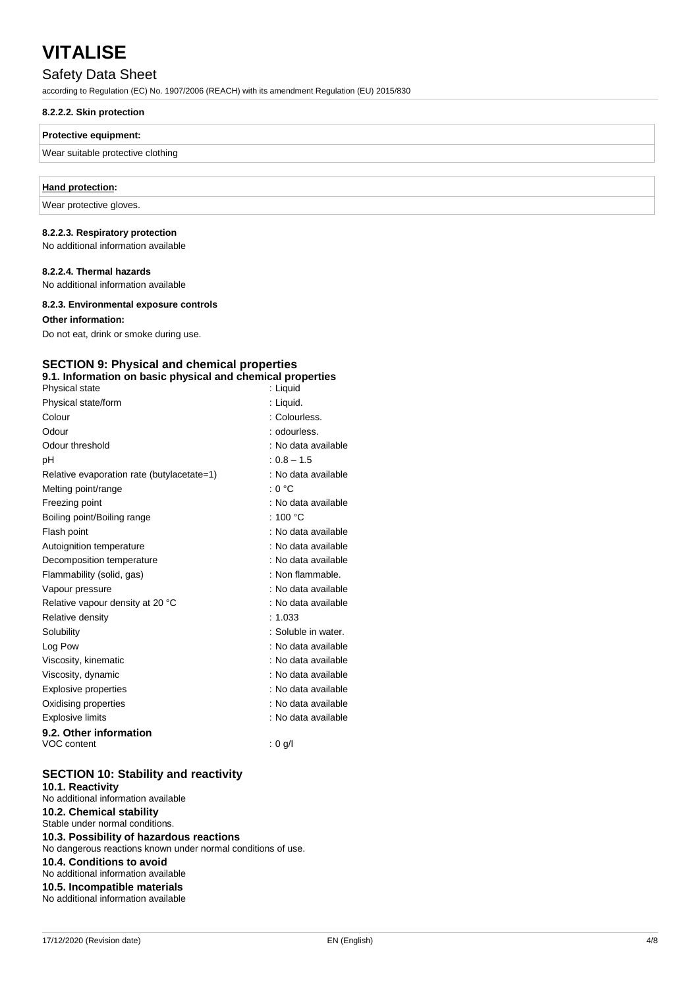### Safety Data Sheet

according to Regulation (EC) No. 1907/2006 (REACH) with its amendment Regulation (EU) 2015/830

#### **8.2.2.2. Skin protection**

#### **Protective equipment:**

#### Wear suitable protective clothing

#### **Hand protection:**

Wear protective gloves.

#### **8.2.2.3. Respiratory protection**

No additional information available

#### **8.2.2.4. Thermal hazards**

No additional information available

#### **8.2.3. Environmental exposure controls**

#### **Other information:**

Do not eat, drink or smoke during use.

#### **SECTION 9: Physical and chemical properties 9.1. Information on basic physical and chemical properties**

| Physical state                             | : Liquid            |
|--------------------------------------------|---------------------|
| Physical state/form                        | : Liquid.           |
| Colour                                     | : Colourless.       |
| Odour                                      | : odourless.        |
| Odour threshold                            | : No data available |
| рH                                         | $: 0.8 - 1.5$       |
| Relative evaporation rate (butylacetate=1) | : No data available |
| Melting point/range                        | : 0 °C              |
| Freezing point                             | : No data available |
| Boiling point/Boiling range                | : 100 $^{\circ}$ C  |
| Flash point                                | : No data available |
| Autoignition temperature                   | : No data available |
| Decomposition temperature                  | : No data available |
| Flammability (solid, gas)                  | : Non flammable.    |
| Vapour pressure                            | : No data available |
| Relative vapour density at 20 °C           | : No data available |
| Relative density                           | : 1.033             |
| Solubility                                 | : Soluble in water. |
| Log Pow                                    | : No data available |
| Viscosity, kinematic                       | : No data available |
| Viscosity, dynamic                         | : No data available |
| <b>Explosive properties</b>                | : No data available |
| Oxidising properties                       | : No data available |
| <b>Explosive limits</b>                    | : No data available |
| 9.2. Other information                     |                     |
| VOC content                                | $: 0$ g/l           |

#### **SECTION 10: Stability and reactivity**

**10.1. Reactivity** No additional information available

### **10.2. Chemical stability**

Stable under normal conditions.

**10.3. Possibility of hazardous reactions** No dangerous reactions known under normal conditions of use. **10.4. Conditions to avoid**

#### No additional information available

**10.5. Incompatible materials**

No additional information available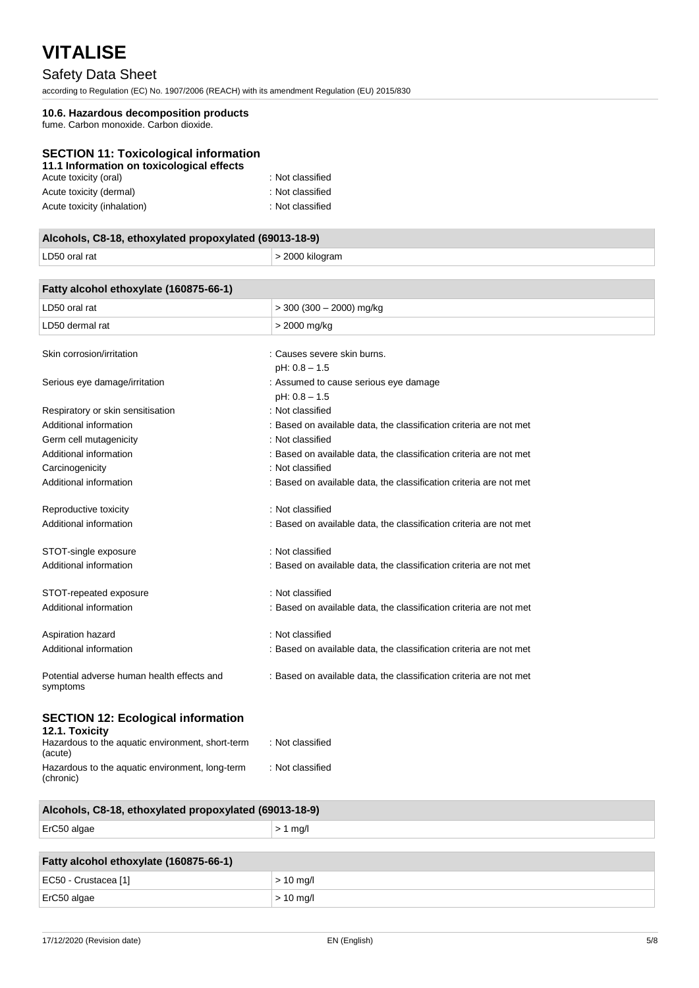# Safety Data Sheet

according to Regulation (EC) No. 1907/2006 (REACH) with its amendment Regulation (EU) 2015/830

### **10.6. Hazardous decomposition products**

fume. Carbon monoxide. Carbon dioxide.

### **SECTION 11: Toxicological information**

| 11.1 Information on toxicological effects |                  |
|-------------------------------------------|------------------|
| Acute toxicity (oral)                     | : Not classified |
| Acute toxicity (dermal)                   | : Not classified |
| Acute toxicity (inhalation)               | : Not classified |

| Alcohols, C8-18, ethoxylated propoxylated (69013-18-9) |                 |  |
|--------------------------------------------------------|-----------------|--|
| LD50 oral rat                                          | > 2000 kilogram |  |

| Fatty alcohol ethoxylate (160875-66-1)                      |                                                                    |
|-------------------------------------------------------------|--------------------------------------------------------------------|
| LD50 oral rat                                               | $>$ 300 (300 - 2000) mg/kg                                         |
| LD50 dermal rat                                             | > 2000 mg/kg                                                       |
| Skin corrosion/irritation                                   | : Causes severe skin burns.<br>$pH: 0.8 - 1.5$                     |
| Serious eye damage/irritation                               | : Assumed to cause serious eye damage<br>$pH: 0.8 - 1.5$           |
| Respiratory or skin sensitisation                           | : Not classified                                                   |
| Additional information                                      | : Based on available data, the classification criteria are not met |
| Germ cell mutagenicity                                      | : Not classified                                                   |
| Additional information                                      | : Based on available data, the classification criteria are not met |
| Carcinogenicity                                             | : Not classified                                                   |
| Additional information                                      | : Based on available data, the classification criteria are not met |
| Reproductive toxicity                                       | : Not classified                                                   |
| Additional information                                      | : Based on available data, the classification criteria are not met |
| STOT-single exposure                                        | : Not classified                                                   |
| Additional information                                      | : Based on available data, the classification criteria are not met |
| STOT-repeated exposure                                      | : Not classified                                                   |
| Additional information                                      | : Based on available data, the classification criteria are not met |
| Aspiration hazard                                           | : Not classified                                                   |
| Additional information                                      | : Based on available data, the classification criteria are not met |
| Potential adverse human health effects and<br>symptoms      | : Based on available data, the classification criteria are not met |
| <b>SECTION 12: Ecological information</b><br>12.1. Toxicity |                                                                    |
| Hazardous to the aquatic environment, short-term<br>(acute) | : Not classified                                                   |
| Hazardous to the aquatic environment, long-term             | : Not classified                                                   |

| Alcohols, C8-18, ethoxylated propoxylated (69013-18-9) |            |  |
|--------------------------------------------------------|------------|--|
| ErC50 algae                                            | $> 1$ mg/l |  |
|                                                        |            |  |

| Fatty alcohol ethoxylate (160875-66-1) |             |  |
|----------------------------------------|-------------|--|
| EC50 - Crustacea [1]                   | $>$ 10 mg/l |  |
| ErC50 algae                            | $>$ 10 mg/l |  |

(chronic)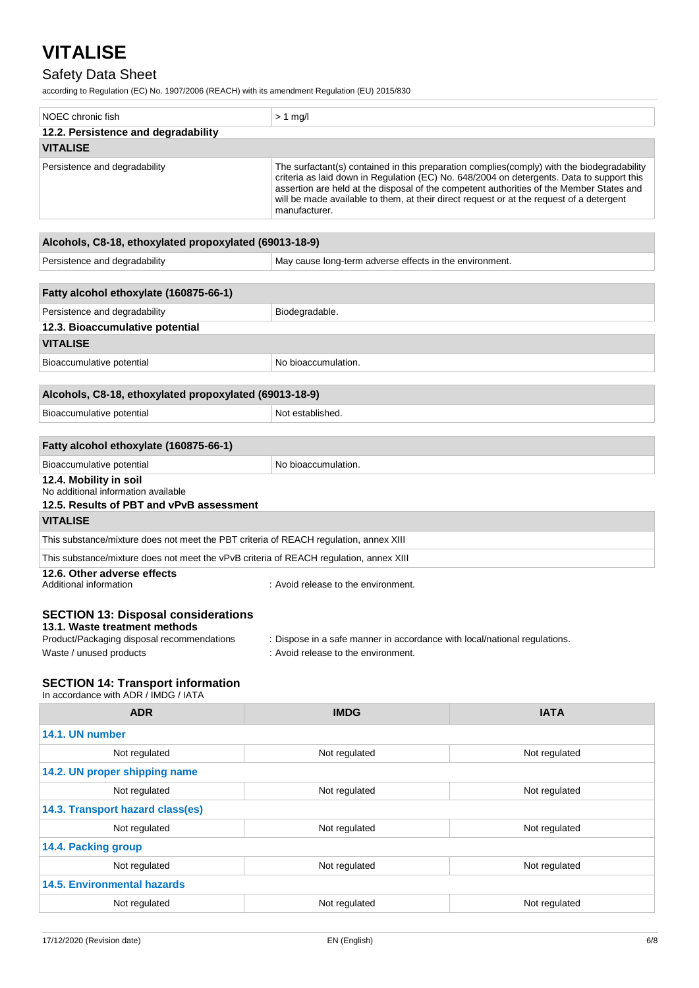### Safety Data Sheet

according to Regulation (EC) No. 1907/2006 (REACH) with its amendment Regulation (EU) 2015/830

| NOEC chronic fish                   | $> 1$ mg/                                                                                                                                                                                                                                                                                                                                                                                        |
|-------------------------------------|--------------------------------------------------------------------------------------------------------------------------------------------------------------------------------------------------------------------------------------------------------------------------------------------------------------------------------------------------------------------------------------------------|
| 12.2. Persistence and degradability |                                                                                                                                                                                                                                                                                                                                                                                                  |
| <b>VITALISE</b>                     |                                                                                                                                                                                                                                                                                                                                                                                                  |
| Persistence and degradability       | The surfactant(s) contained in this preparation complies(comply) with the biodegradability<br>criteria as laid down in Regulation (EC) No. 648/2004 on detergents. Data to support this<br>assertion are held at the disposal of the competent authorities of the Member States and<br>will be made available to them, at their direct request or at the request of a detergent<br>manufacturer. |

#### **Alcohols, C8-18, ethoxylated propoxylated (69013-18-9)**

| Alcohols, C8-18, ethoxylated propoxylated (69013-18-9)                                                                                               |                                                                                                                  |  |  |
|------------------------------------------------------------------------------------------------------------------------------------------------------|------------------------------------------------------------------------------------------------------------------|--|--|
| Persistence and degradability                                                                                                                        | May cause long-term adverse effects in the environment.                                                          |  |  |
|                                                                                                                                                      |                                                                                                                  |  |  |
| Fatty alcohol ethoxylate (160875-66-1)                                                                                                               |                                                                                                                  |  |  |
| Persistence and degradability                                                                                                                        | Biodegradable.                                                                                                   |  |  |
| 12.3. Bioaccumulative potential                                                                                                                      |                                                                                                                  |  |  |
| <b>VITALISE</b>                                                                                                                                      |                                                                                                                  |  |  |
| Bioaccumulative potential                                                                                                                            | No bioaccumulation.                                                                                              |  |  |
|                                                                                                                                                      |                                                                                                                  |  |  |
| Alcohols, C8-18, ethoxylated propoxylated (69013-18-9)                                                                                               |                                                                                                                  |  |  |
| Bioaccumulative potential                                                                                                                            | Not established.                                                                                                 |  |  |
|                                                                                                                                                      |                                                                                                                  |  |  |
| Fatty alcohol ethoxylate (160875-66-1)                                                                                                               |                                                                                                                  |  |  |
| Bioaccumulative potential                                                                                                                            | No bioaccumulation.                                                                                              |  |  |
| 12.4. Mobility in soil<br>No additional information available                                                                                        |                                                                                                                  |  |  |
| 12.5. Results of PBT and vPvB assessment                                                                                                             |                                                                                                                  |  |  |
| <b>VITALISE</b>                                                                                                                                      |                                                                                                                  |  |  |
| This substance/mixture does not meet the PBT criteria of REACH regulation, annex XIII                                                                |                                                                                                                  |  |  |
| This substance/mixture does not meet the vPvB criteria of REACH regulation, annex XIII                                                               |                                                                                                                  |  |  |
| 12.6. Other adverse effects<br>Additional information                                                                                                | : Avoid release to the environment.                                                                              |  |  |
| <b>SECTION 13: Disposal considerations</b><br>13.1. Waste treatment methods<br>Product/Packaging disposal recommendations<br>Waste / unused products | : Dispose in a safe manner in accordance with local/national regulations.<br>: Avoid release to the environment. |  |  |

### **SECTION 14: Transport information**

| In accordance with ADR / IMDG / IATA |                                |               |  |
|--------------------------------------|--------------------------------|---------------|--|
| <b>ADR</b>                           | <b>IMDG</b>                    | <b>IATA</b>   |  |
| 14.1. UN number                      |                                |               |  |
| Not regulated                        | Not regulated<br>Not regulated |               |  |
| 14.2. UN proper shipping name        |                                |               |  |
| Not regulated                        | Not regulated                  | Not regulated |  |
| 14.3. Transport hazard class(es)     |                                |               |  |
| Not regulated                        | Not regulated<br>Not regulated |               |  |
| 14.4. Packing group                  |                                |               |  |
| Not regulated                        | Not regulated                  | Not regulated |  |
| <b>14.5. Environmental hazards</b>   |                                |               |  |
| Not regulated                        | Not regulated                  | Not regulated |  |
|                                      |                                |               |  |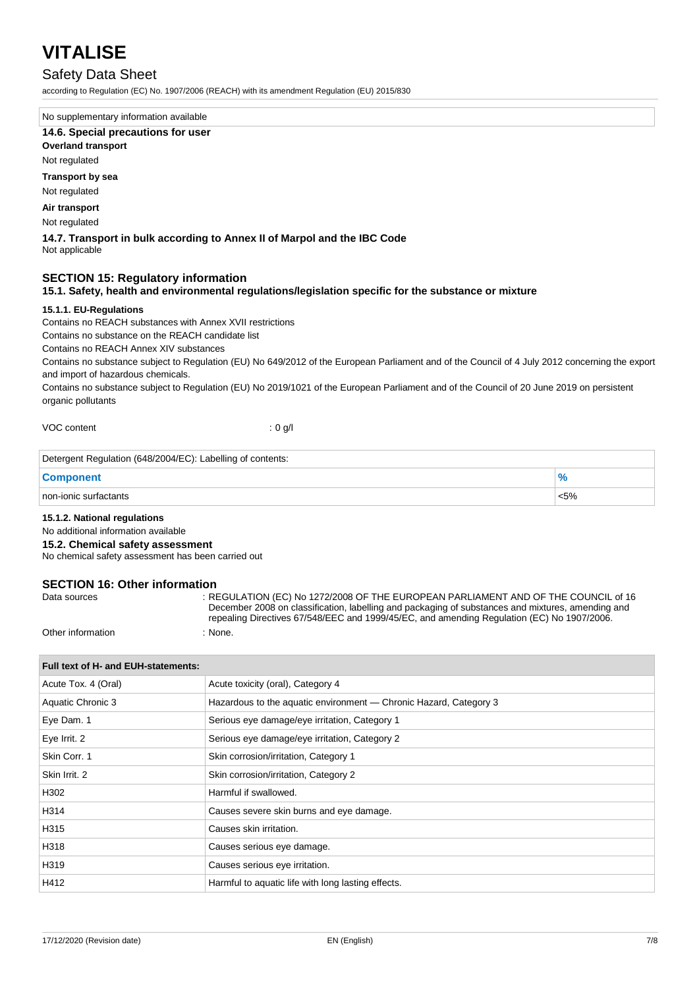### Safety Data Sheet

according to Regulation (EC) No. 1907/2006 (REACH) with its amendment Regulation (EU) 2015/830

No supplementary information available

#### **14.6. Special precautions for user**

#### **Overland transport**

Not regulated

#### **Transport by sea**

Not regulated

#### **Air transport**

Not regulated

#### **14.7. Transport in bulk according to Annex II of Marpol and the IBC Code** Not applicable

#### **SECTION 15: Regulatory information**

#### **15.1. Safety, health and environmental regulations/legislation specific for the substance or mixture**

#### **15.1.1. EU-Regulations**

Contains no REACH substances with Annex XVII restrictions

Contains no substance on the REACH candidate list

Contains no REACH Annex XIV substances

Contains no substance subject to Regulation (EU) No 649/2012 of the European Parliament and of the Council of 4 July 2012 concerning the export and import of hazardous chemicals.

Contains no substance subject to Regulation (EU) No 2019/1021 of the European Parliament and of the Council of 20 June 2019 on persistent organic pollutants

VOC content : 0 g/l

| Detergent Regulation (648/2004/EC): Labelling of contents: |      |  |
|------------------------------------------------------------|------|--|
| <b>Component</b>                                           |      |  |
| non-ionic surfactants                                      | < 5% |  |

#### **15.1.2. National regulations**

#### No additional information available

**15.2. Chemical safety assessment**

No chemical safety assessment has been carried out

# **SECTION 16: Other information**<br>Ri

: REGULATION (EC) No 1272/2008 OF THE EUROPEAN PARLIAMENT AND OF THE COUNCIL of 16 December 2008 on classification, labelling and packaging of substances and mixtures, amending and repealing Directives 67/548/EEC and 1999/45/EC, and amending Regulation (EC) No 1907/2006.

Other information : None.

| Acute toxicity (oral), Category 4<br>Acute Tox. 4 (Oral)<br>Aquatic Chronic 3<br>Hazardous to the aquatic environment — Chronic Hazard, Category 3<br>Eye Dam. 1<br>Serious eye damage/eye irritation, Category 1<br>Eye Irrit. 2<br>Serious eye damage/eye irritation, Category 2<br>Skin Corr. 1<br>Skin corrosion/irritation, Category 1<br>Skin Irrit. 2<br>Skin corrosion/irritation, Category 2<br>Harmful if swallowed.<br>H302<br>H314<br>Causes severe skin burns and eye damage.<br>H315<br>Causes skin irritation.<br>H318<br>Causes serious eye damage.<br>H319<br>Causes serious eye irritation.<br>H412<br>Harmful to aquatic life with long lasting effects. | Full text of H- and EUH-statements: |  |  |
|-----------------------------------------------------------------------------------------------------------------------------------------------------------------------------------------------------------------------------------------------------------------------------------------------------------------------------------------------------------------------------------------------------------------------------------------------------------------------------------------------------------------------------------------------------------------------------------------------------------------------------------------------------------------------------|-------------------------------------|--|--|
|                                                                                                                                                                                                                                                                                                                                                                                                                                                                                                                                                                                                                                                                             |                                     |  |  |
|                                                                                                                                                                                                                                                                                                                                                                                                                                                                                                                                                                                                                                                                             |                                     |  |  |
|                                                                                                                                                                                                                                                                                                                                                                                                                                                                                                                                                                                                                                                                             |                                     |  |  |
|                                                                                                                                                                                                                                                                                                                                                                                                                                                                                                                                                                                                                                                                             |                                     |  |  |
|                                                                                                                                                                                                                                                                                                                                                                                                                                                                                                                                                                                                                                                                             |                                     |  |  |
|                                                                                                                                                                                                                                                                                                                                                                                                                                                                                                                                                                                                                                                                             |                                     |  |  |
|                                                                                                                                                                                                                                                                                                                                                                                                                                                                                                                                                                                                                                                                             |                                     |  |  |
|                                                                                                                                                                                                                                                                                                                                                                                                                                                                                                                                                                                                                                                                             |                                     |  |  |
|                                                                                                                                                                                                                                                                                                                                                                                                                                                                                                                                                                                                                                                                             |                                     |  |  |
|                                                                                                                                                                                                                                                                                                                                                                                                                                                                                                                                                                                                                                                                             |                                     |  |  |
|                                                                                                                                                                                                                                                                                                                                                                                                                                                                                                                                                                                                                                                                             |                                     |  |  |
|                                                                                                                                                                                                                                                                                                                                                                                                                                                                                                                                                                                                                                                                             |                                     |  |  |